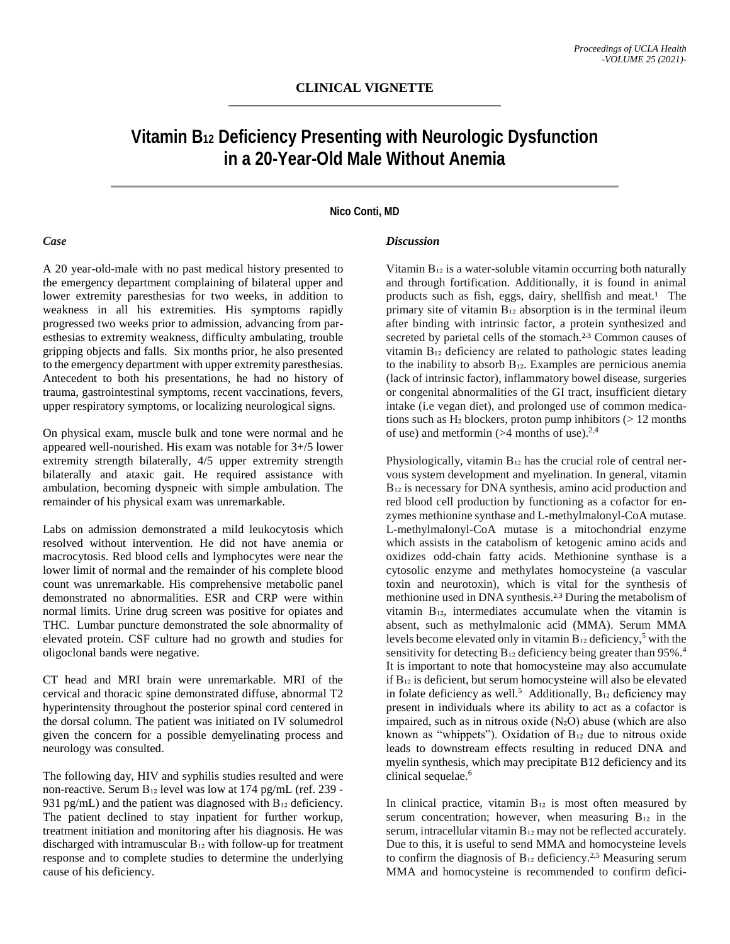# **CLINICAL VIGNETTE**

# **Vitamin B12 Deficiency Presenting with Neurologic Dysfunction in a 20-Year-Old Male Without Anemia**

## **Nico Conti, MD**

#### *Case*

A 20 year-old-male with no past medical history presented to the emergency department complaining of bilateral upper and lower extremity paresthesias for two weeks, in addition to weakness in all his extremities. His symptoms rapidly progressed two weeks prior to admission, advancing from paresthesias to extremity weakness, difficulty ambulating, trouble gripping objects and falls. Six months prior, he also presented to the emergency department with upper extremity paresthesias. Antecedent to both his presentations, he had no history of trauma, gastrointestinal symptoms, recent vaccinations, fevers, upper respiratory symptoms, or localizing neurological signs.

On physical exam, muscle bulk and tone were normal and he appeared well-nourished. His exam was notable for 3+/5 lower extremity strength bilaterally,  $4/5$  upper extremity strength bilaterally and ataxic gait. He required assistance with ambulation, becoming dyspneic with simple ambulation. The remainder of his physical exam was unremarkable.

Labs on admission demonstrated a mild leukocytosis which resolved without intervention. He did not have anemia or macrocytosis. Red blood cells and lymphocytes were near the lower limit of normal and the remainder of his complete blood count was unremarkable. His comprehensive metabolic panel demonstrated no abnormalities. ESR and CRP were within normal limits. Urine drug screen was positive for opiates and THC. Lumbar puncture demonstrated the sole abnormality of elevated protein. CSF culture had no growth and studies for oligoclonal bands were negative.

CT head and MRI brain were unremarkable. MRI of the cervical and thoracic spine demonstrated diffuse, abnormal T2 hyperintensity throughout the posterior spinal cord centered in the dorsal column. The patient was initiated on IV solumedrol given the concern for a possible demyelinating process and neurology was consulted.

The following day, HIV and syphilis studies resulted and were non-reactive. Serum  $B_{12}$  level was low at 174 pg/mL (ref. 239 -931 pg/mL) and the patient was diagnosed with  $B_{12}$  deficiency. The patient declined to stay inpatient for further workup, treatment initiation and monitoring after his diagnosis. He was discharged with intramuscular B<sub>12</sub> with follow-up for treatment response and to complete studies to determine the underlying cause of his deficiency.

#### *Discussion*

Vitamin B<sub>12</sub> is a water-soluble vitamin occurring both naturally and through fortification. Additionally, it is found in animal products such as fish, eggs, dairy, shellfish and meat.<sup>1</sup> The primary site of vitamin  $B_{12}$  absorption is in the terminal ileum after binding with intrinsic factor, a protein synthesized and secreted by parietal cells of the stomach.<sup>2,3</sup> Common causes of vitamin B<sub>12</sub> deficiency are related to pathologic states leading to the inability to absorb  $B_{12}$ . Examples are pernicious anemia (lack of intrinsic factor), inflammatory bowel disease, surgeries or congenital abnormalities of the GI tract, insufficient dietary intake (i.e vegan diet), and prolonged use of common medications such as  $H_2$  blockers, proton pump inhibitors ( $> 12$  months of use) and metformin  $($ >4 months of use).<sup>2,4</sup>

Physiologically, vitamin  $B_{12}$  has the crucial role of central nervous system development and myelination. In general, vitamin  $B_{12}$  is necessary for DNA synthesis, amino acid production and red blood cell production by functioning as a cofactor for enzymes methionine synthase and L-methylmalonyl-CoA mutase. L-methylmalonyl-CoA mutase is a mitochondrial enzyme which assists in the catabolism of ketogenic amino acids and oxidizes odd-chain fatty acids. Methionine synthase is a cytosolic enzyme and methylates homocysteine (a vascular toxin and neurotoxin), which is vital for the synthesis of methionine used in DNA synthesis.<sup>2,3</sup> During the metabolism of vitamin  $B_{12}$ , intermediates accumulate when the vitamin is absent, such as methylmalonic acid (MMA). Serum MMA levels become elevated only in vitamin  $B_{12}$  deficiency,<sup>5</sup> with the sensitivity for detecting  $B_{12}$  deficiency being greater than 95%.<sup>4</sup> It is important to note that homocysteine may also accumulate if B₁₂ is deficient, but serum homocysteine will also be elevated in folate deficiency as well.<sup>5</sup> Additionally,  $B_{12}$  deficiency may present in individuals where its ability to act as a cofactor is impaired, such as in nitrous oxide  $(N_2O)$  abuse (which are also known as "whippets"). Oxidation of  $B_{12}$  due to nitrous oxide leads to downstream effects resulting in reduced DNA and myelin synthesis, which may precipitate B12 deficiency and its clinical sequelae. 6

In clinical practice, vitamin  $B_{12}$  is most often measured by serum concentration; however, when measuring  $B_{12}$  in the serum, intracellular vitamin B<sub>12</sub> may not be reflected accurately. Due to this, it is useful to send MMA and homocysteine levels to confirm the diagnosis of  $B_{12}$  deficiency.<sup>2,5</sup> Measuring serum MMA and homocysteine is recommended to confirm defici